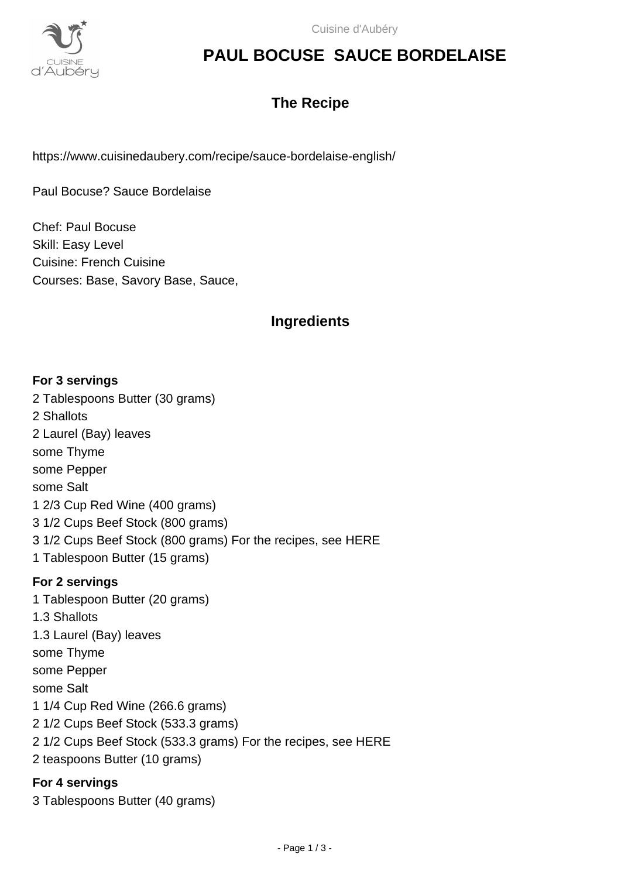

## **PAUL BOCUSE SAUCE BORDELAISE**

### **The Recipe**

https://www.cuisinedaubery.com/recipe/sauce-bordelaise-english/

Paul Bocuse? Sauce Bordelaise

Chef: Paul Bocuse Skill: Easy Level Cuisine: French Cuisine Courses: Base, Savory Base, Sauce,

### **Ingredients**

#### **For 3 servings**

2 Tablespoons Butter (30 grams) 2 Shallots 2 Laurel (Bay) leaves some Thyme some Pepper some Salt 1 2/3 Cup Red Wine (400 grams) 3 1/2 Cups Beef Stock (800 grams) 3 1/2 Cups Beef Stock (800 grams) For the recipes, see HERE 1 Tablespoon Butter (15 grams) **For 2 servings** 1 Tablespoon Butter (20 grams) 1.3 Shallots 1.3 Laurel (Bay) leaves some Thyme some Pepper some Salt 1 1/4 Cup Red Wine (266.6 grams) 2 1/2 Cups Beef Stock (533.3 grams) 2 1/2 Cups Beef Stock (533.3 grams) For the recipes, see HERE 2 teaspoons Butter (10 grams)

#### **For 4 servings**

3 Tablespoons Butter (40 grams)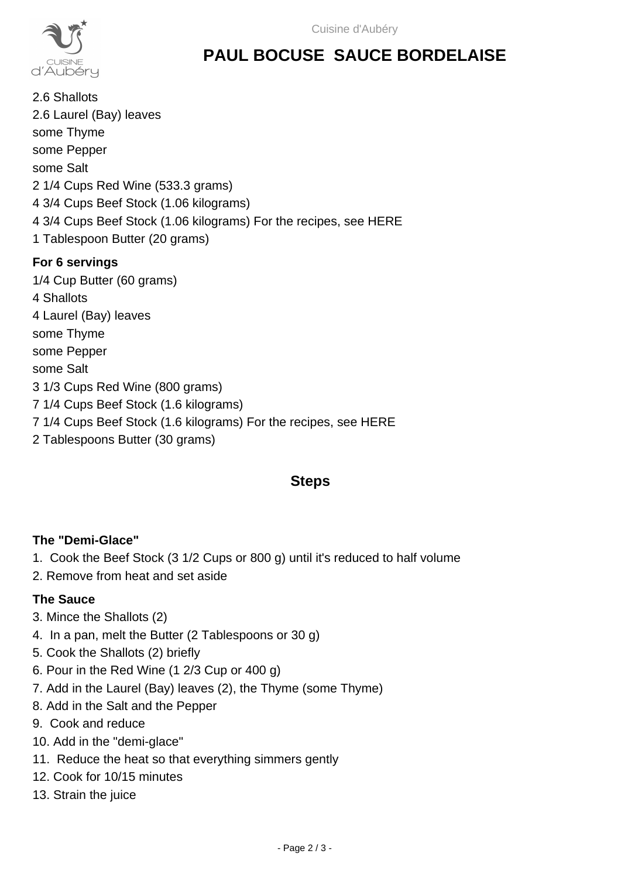

# **PAUL BOCUSE SAUCE BORDELAISE**

2.6 Shallots 2.6 Laurel (Bay) leaves some Thyme some Pepper some Salt 2 1/4 Cups Red Wine (533.3 grams) 4 3/4 Cups Beef Stock (1.06 kilograms) 4 3/4 Cups Beef Stock (1.06 kilograms) For the recipes, see HERE 1 Tablespoon Butter (20 grams) **For 6 servings** 1/4 Cup Butter (60 grams) 4 Shallots 4 Laurel (Bay) leaves some Thyme some Pepper some Salt 3 1/3 Cups Red Wine (800 grams) 7 1/4 Cups Beef Stock (1.6 kilograms)

- 7 1/4 Cups Beef Stock (1.6 kilograms) For the recipes, see HERE
- 2 Tablespoons Butter (30 grams)

### **Steps**

### **The "Demi-Glace"**

- 1. Cook the Beef Stock (3 1/2 Cups or 800 g) until it's reduced to half volume
- 2. Remove from heat and set aside

### **The Sauce**

- 3. Mince the Shallots (2)
- 4. In a pan, melt the Butter (2 Tablespoons or 30 g)
- 5. Cook the Shallots (2) briefly
- 6. Pour in the Red Wine (1 2/3 Cup or 400 g)
- 7. Add in the Laurel (Bay) leaves (2), the Thyme (some Thyme)
- 8. Add in the Salt and the Pepper
- 9. Cook and reduce
- 10. Add in the "demi-glace"
- 11. Reduce the heat so that everything simmers gently
- 12. Cook for 10/15 minutes
- 13. Strain the juice